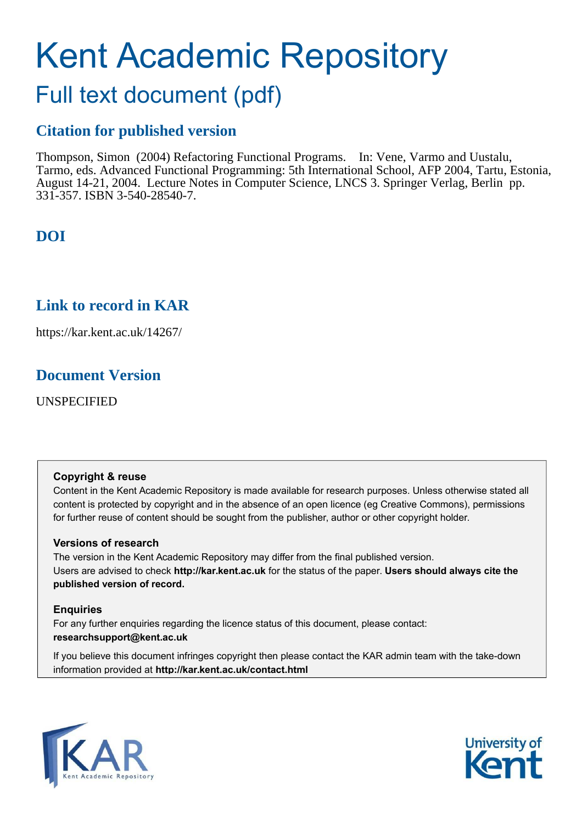# Kent Academic Repository

## Full text document (pdf)

## **Citation for published version**

Thompson, Simon (2004) Refactoring Functional Programs. In: Vene, Varmo and Uustalu, Tarmo, eds. Advanced Functional Programming: 5th International School, AFP 2004, Tartu, Estonia, August 14-21, 2004. Lecture Notes in Computer Science, LNCS 3. Springer Verlag, Berlin pp. 331-357. ISBN 3-540-28540-7.

## **DOI**

## **Link to record in KAR**

https://kar.kent.ac.uk/14267/

### **Document Version**

UNSPECIFIED

#### **Copyright & reuse**

Content in the Kent Academic Repository is made available for research purposes. Unless otherwise stated all content is protected by copyright and in the absence of an open licence (eg Creative Commons), permissions for further reuse of content should be sought from the publisher, author or other copyright holder.

#### **Versions of research**

The version in the Kent Academic Repository may differ from the final published version. Users are advised to check **http://kar.kent.ac.uk** for the status of the paper. **Users should always cite the published version of record.**

#### **Enquiries**

For any further enquiries regarding the licence status of this document, please contact: **researchsupport@kent.ac.uk**

<span id="page-0-0"></span>If you believe this document infringes copyright then please contact the KAR admin team with the take-down information provided at **http://kar.kent.ac.uk/contact.html**



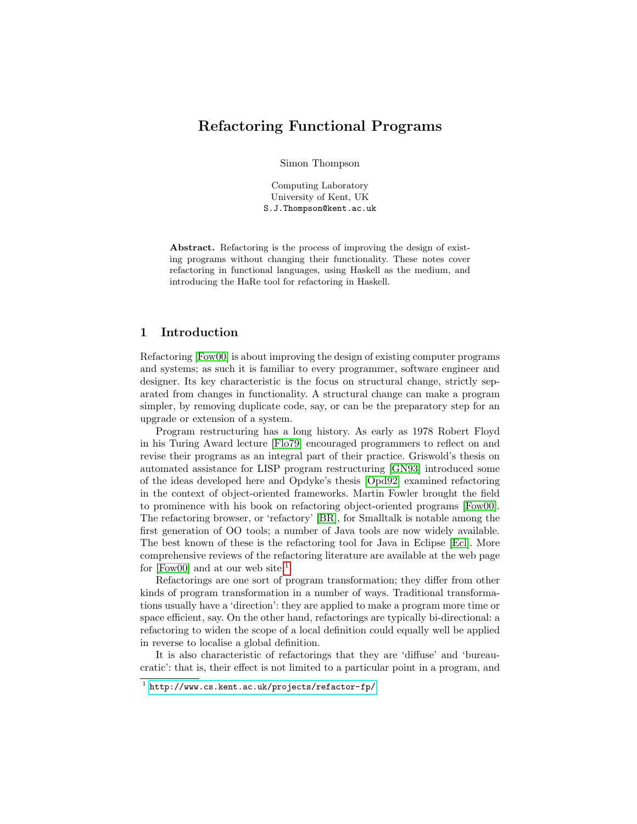#### Refactoring Functional Programs

Simon Thompson

Computing Laboratory University of Kent, UK S.J.Thompson@kent.ac.uk

Abstract. Refactoring is the process of improving the design of existing programs without changing their functionality. These notes cover refactoring in functional languages, using Haskell as the medium, and introducing the HaRe tool for refactoring in Haskell.

#### 1 Introduction

Refactoring [\[Fow00\]](#page-25-0) is about improving the design of existing computer programs and systems; as such it is familiar to every programmer, software engineer and designer. Its key characteristic is the focus on structural change, strictly separated from changes in functionality. A structural change can make a program simpler, by removing duplicate code, say, or can be the preparatory step for an upgrade or extension of a system.

Program restructuring has a long history. As early as 1978 Robert Floyd in his Turing Award lecture [\[Flo79\]](#page-25-1) encouraged programmers to reflect on and revise their programs as an integral part of their practice. Griswold's thesis on automated assistance for LISP program restructuring [\[GN93\]](#page-25-2) introduced some of the ideas developed here and Opdyke's thesis [\[Opd92\]](#page-26-0) examined refactoring in the context of object-oriented frameworks. Martin Fowler brought the field to prominence with his book on refactoring object-oriented programs [\[Fow00\]](#page-25-0). The refactoring browser, or 'refactory' [\[BR\]](#page-25-3), for Smalltalk is notable among the first generation of OO tools; a number of Java tools are now widely available. The best known of these is the refactoring tool for Java in Eclipse [\[Ecl\]](#page-25-4). More comprehensive reviews of the refactoring literature are available at the web page for [\[Fow00\]](#page-25-0) and at our web site.<sup>[1](#page-0-0)</sup>

Refactorings are one sort of program transformation; they differ from other kinds of program transformation in a number of ways. Traditional transformations usually have a 'direction': they are applied to make a program more time or space efficient, say. On the other hand, refactorings are typically bi-directional: a refactoring to widen the scope of a local definition could equally well be applied in reverse to localise a global definition.

It is also characteristic of refactorings that they are 'diffuse' and 'bureaucratic': that is, their effect is not limited to a particular point in a program, and

<span id="page-1-0"></span> $^1$  <http://www.cs.kent.ac.uk/projects/refactor-fp/>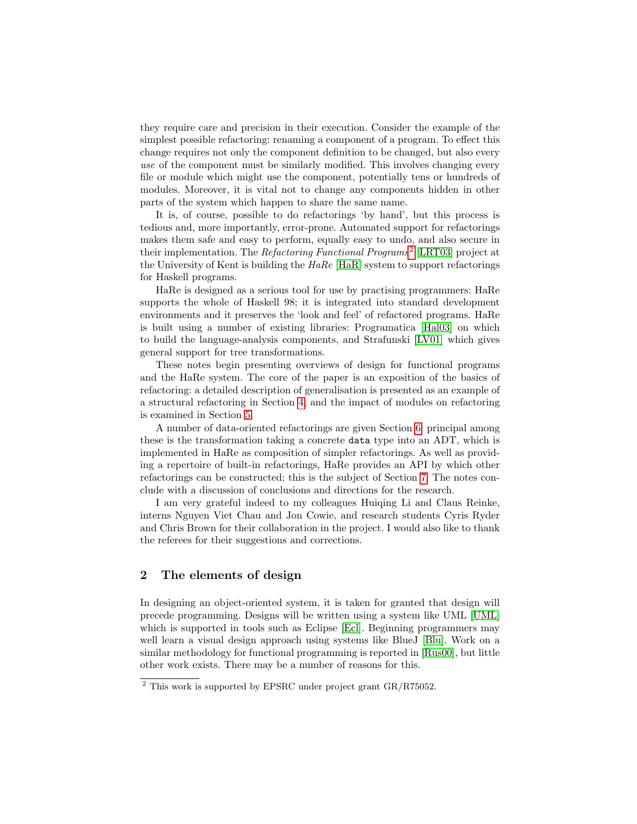they require care and precision in their execution. Consider the example of the simplest possible refactoring: renaming a component of a program. To effect this change requires not only the component definition to be changed, but also every use of the component must be similarly modified. This involves changing every file or module which might use the component, potentially tens or hundreds of modules. Moreover, it is vital not to change any components hidden in other parts of the system which happen to share the same name.

It is, of course, possible to do refactorings 'by hand', but this process is tedious and, more importantly, error-prone. Automated support for refactorings makes them safe and easy to perform, equally easy to undo, and also secure in their implementation. The Refactoring Functional Programs<sup>[2](#page-1-0)</sup> [\[LRT03\]](#page-26-1) project at the University of Kent is building the  $HaRe$  [\[HaR\]](#page-25-5) system to support refactorings for Haskell programs.

HaRe is designed as a serious tool for use by practising programmers: HaRe supports the whole of Haskell 98; it is integrated into standard development environments and it preserves the 'look and feel' of refactored programs. HaRe is built using a number of existing libraries: Programatica [\[Hal03\]](#page-25-6) on which to build the language-analysis components, and Strafunski [\[LV01\]](#page-26-2) which gives general support for tree transformations.

These notes begin presenting overviews of design for functional programs and the HaRe system. The core of the paper is an exposition of the basics of refactoring: a detailed description of generalisation is presented as an example of a structural refactoring in Section [4,](#page-6-0) and the impact of modules on refactoring is examined in Section [5.](#page-9-0)

A number of data-oriented refactorings are given Section [6:](#page-10-0) principal among these is the transformation taking a concrete data type into an ADT, which is implemented in HaRe as composition of simpler refactorings. As well as providing a repertoire of built-in refactorings, HaRe provides an API by which other refactorings can be constructed; this is the subject of Section [7.](#page-19-0) The notes conclude with a discussion of conclusions and directions for the research.

I am very grateful indeed to my colleagues Huiqing Li and Claus Reinke, interns Nguyen Viet Chau and Jon Cowie, and research students Cyris Ryder and Chris Brown for their collaboration in the project. I would also like to thank the referees for their suggestions and corrections.

#### 2 The elements of design

In designing an object-oriented system, it is taken for granted that design will precede programming. Designs will be written using a system like UML [\[UML\]](#page-26-3) which is supported in tools such as Eclipse [\[Ecl\]](#page-25-4). Beginning programmers may well learn a visual design approach using systems like BlueJ [\[Blu\]](#page-25-7). Work on a similar methodology for functional programming is reported in [\[Rus00\]](#page-26-4), but little other work exists. There may be a number of reasons for this.

<sup>&</sup>lt;sup>2</sup> This work is supported by EPSRC under project grant GR/R75052.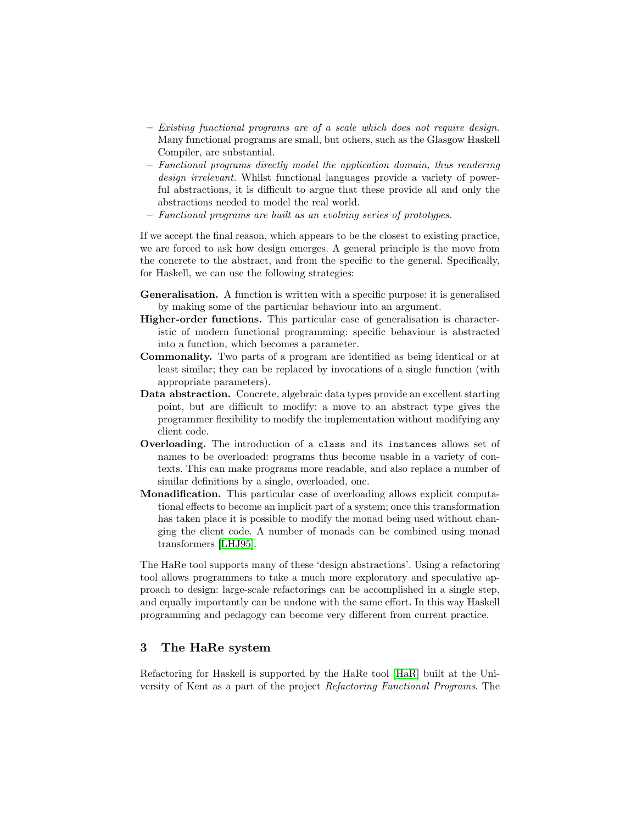- Existing functional programs are of a scale which does not require design. Many functional programs are small, but others, such as the Glasgow Haskell Compiler, are substantial.
- Functional programs directly model the application domain, thus rendering design irrelevant. Whilst functional languages provide a variety of powerful abstractions, it is difficult to argue that these provide all and only the abstractions needed to model the real world.
- Functional programs are built as an evolving series of prototypes.

If we accept the final reason, which appears to be the closest to existing practice, we are forced to ask how design emerges. A general principle is the move from the concrete to the abstract, and from the specific to the general. Specifically, for Haskell, we can use the following strategies:

- Generalisation. A function is written with a specific purpose: it is generalised by making some of the particular behaviour into an argument.
- Higher-order functions. This particular case of generalisation is characteristic of modern functional programming: specific behaviour is abstracted into a function, which becomes a parameter.
- <span id="page-3-0"></span>Commonality. Two parts of a program are identified as being identical or at least similar; they can be replaced by invocations of a single function (with appropriate parameters).
- Data abstraction. Concrete, algebraic data types provide an excellent starting point, but are difficult to modify: a move to an abstract type gives the programmer flexibility to modify the implementation without modifying any client code.
- Overloading. The introduction of a class and its instances allows set of names to be overloaded: programs thus become usable in a variety of contexts. This can make programs more readable, and also replace a number of similar definitions by a single, overloaded, one.
- Monadification. This particular case of overloading allows explicit computational effects to become an implicit part of a system; once this transformation has taken place it is possible to modify the monad being used without changing the client code. A number of monads can be combined using monad transformers [\[LHJ95\]](#page-26-5).

The HaRe tool supports many of these 'design abstractions'. Using a refactoring tool allows programmers to take a much more exploratory and speculative approach to design: large-scale refactorings can be accomplished in a single step, and equally importantly can be undone with the same effort. In this way Haskell programming and pedagogy can become very different from current practice.

#### 3 The HaRe system

Refactoring for Haskell is supported by the HaRe tool [\[HaR\]](#page-25-5) built at the University of Kent as a part of the project Refactoring Functional Programs. The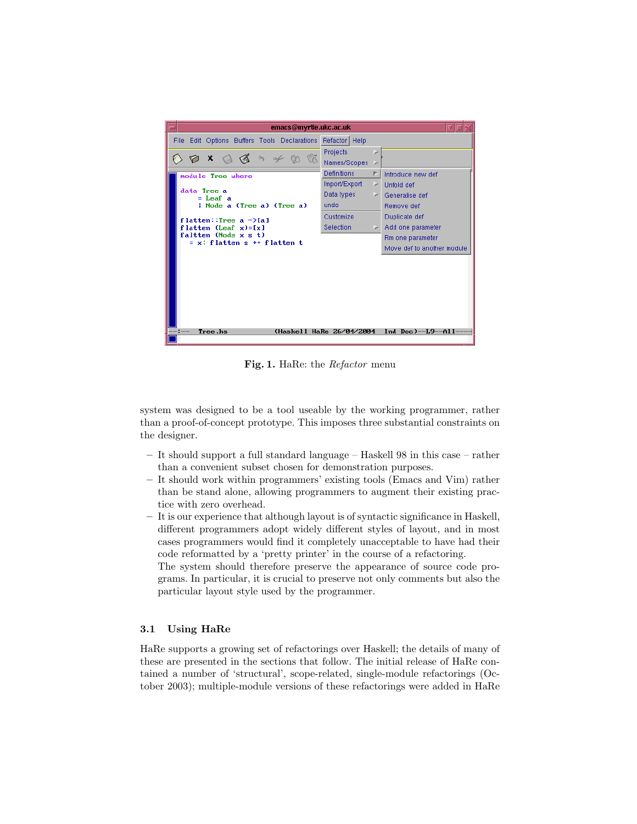

Fig. 1. HaRe: the Refactor menu

system was designed to be a tool useable by the working programmer, rather than a proof-of-concept prototype. This imposes three substantial constraints on the designer.

- <span id="page-4-0"></span>– It should support a full standard language – Haskell 98 in this case – rather than a convenient subset chosen for demonstration purposes.
- It should work within programmers' existing tools (Emacs and Vim) rather than be stand alone, allowing programmers to augment their existing practice with zero overhead.
- It is our experience that although layout is of syntactic significance in Haskell, different programmers adopt widely different styles of layout, and in most cases programmers would find it completely unacceptable to have had their code reformatted by a 'pretty printer' in the course of a refactoring.

The system should therefore preserve the appearance of source code programs. In particular, it is crucial to preserve not only comments but also the particular layout style used by the programmer.

#### 3.1 Using HaRe

HaRe supports a growing set of refactorings over Haskell; the details of many of these are presented in the sections that follow. The initial release of HaRe contained a number of 'structural', scope-related, single-module refactorings (October 2003); multiple-module versions of these refactorings were added in HaRe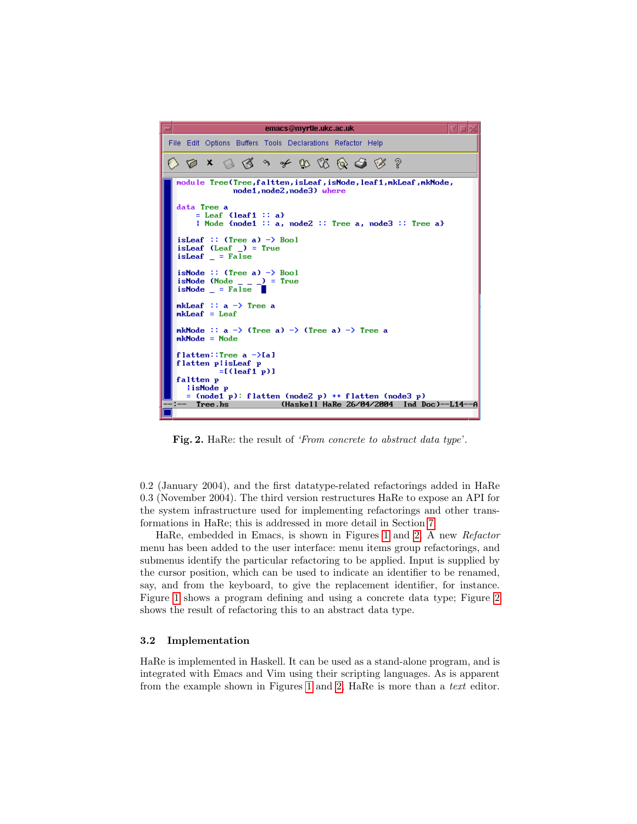<span id="page-5-0"></span>

Fig. 2. HaRe: the result of 'From concrete to abstract data type'.

0.2 (January 2004), and the first datatype-related refactorings added in HaRe 0.3 (November 2004). The third version restructures HaRe to expose an API for the system infrastructure used for implementing refactorings and other transformations in HaRe; this is addressed in more detail in Section [7.](#page-19-0)

HaRe, embedded in Emacs, is shown in Figures [1](#page-3-0) and [2.](#page-4-0) A new Refactor menu has been added to the user interface: menu items group refactorings, and submenus identify the particular refactoring to be applied. Input is supplied by the cursor position, which can be used to indicate an identifier to be renamed, say, and from the keyboard, to give the replacement identifier, for instance. Figure [1](#page-3-0) shows a program defining and using a concrete data type; Figure [2](#page-4-0) shows the result of refactoring this to an abstract data type.

#### 3.2 Implementation

HaRe is implemented in Haskell. It can be used as a stand-alone program, and is integrated with Emacs and Vim using their scripting languages. As is apparent from the example shown in Figures [1](#page-3-0) and [2,](#page-4-0) HaRe is more than a text editor.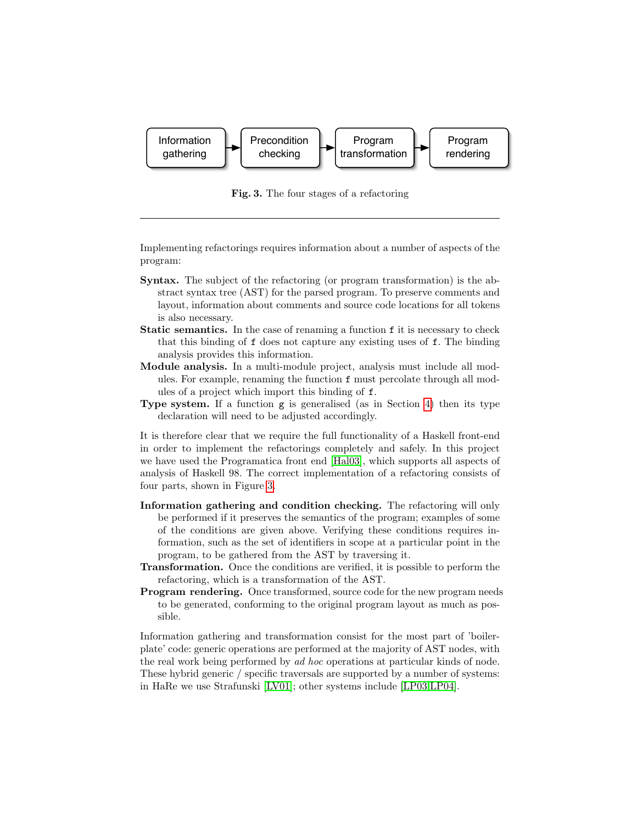

Fig. 3. The four stages of a refactoring

<span id="page-6-0"></span>Implementing refactorings requires information about a number of aspects of the program:

- Syntax. The subject of the refactoring (or program transformation) is the abstract syntax tree (AST) for the parsed program. To preserve comments and layout, information about comments and source code locations for all tokens is also necessary.
- Static semantics. In the case of renaming a function f it is necessary to check that this binding of f does not capture any existing uses of f. The binding analysis provides this information.
- Module analysis. In a multi-module project, analysis must include all modules. For example, renaming the function f must percolate through all modules of a project which import this binding of f.
- **Type system.** If a function  $g$  is generalised (as in Section [4\)](#page-6-0) then its type declaration will need to be adjusted accordingly.

It is therefore clear that we require the full functionality of a Haskell front-end in order to implement the refactorings completely and safely. In this project we have used the Programatica front end [\[Hal03\]](#page-25-6), which supports all aspects of analysis of Haskell 98. The correct implementation of a refactoring consists of four parts, shown in Figure [3.](#page-5-0)

- Information gathering and condition checking. The refactoring will only be performed if it preserves the semantics of the program; examples of some of the conditions are given above. Verifying these conditions requires information, such as the set of identifiers in scope at a particular point in the program, to be gathered from the AST by traversing it.
- Transformation. Once the conditions are verified, it is possible to perform the refactoring, which is a transformation of the AST.
- **Program rendering.** Once transformed, source code for the new program needs to be generated, conforming to the original program layout as much as possible.

Information gathering and transformation consist for the most part of 'boilerplate' code: generic operations are performed at the majority of AST nodes, with the real work being performed by ad hoc operations at particular kinds of node. These hybrid generic / specific traversals are supported by a number of systems: in HaRe we use Strafunski [\[LV01\]](#page-26-2); other systems include [\[LP03,](#page-26-6)[LP04\]](#page-26-7).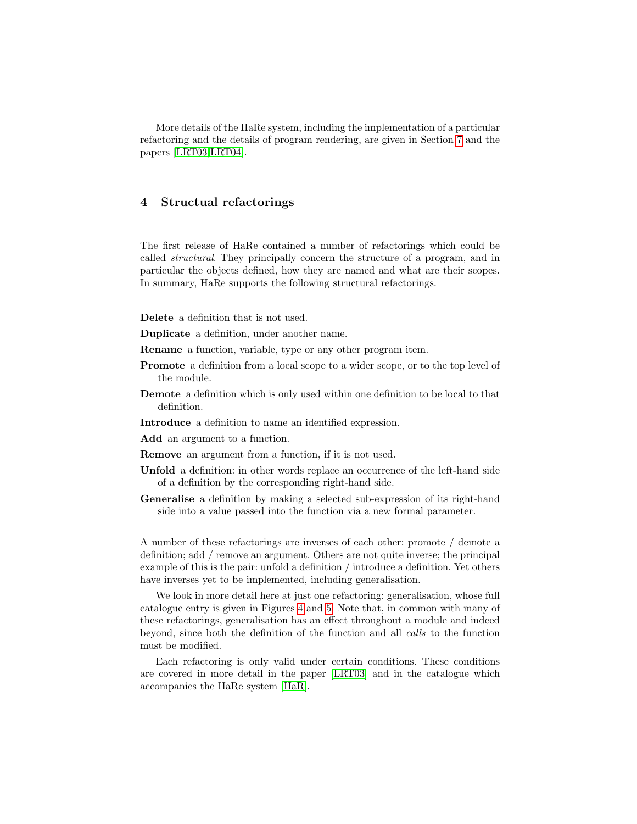More details of the HaRe system, including the implementation of a particular refactoring and the details of program rendering, are given in Section [7](#page-19-0) and the papers [\[LRT03](#page-26-1)[,LRT04\]](#page-26-8).

#### 4 Structual refactorings

The first release of HaRe contained a number of refactorings which could be called structural. They principally concern the structure of a program, and in particular the objects defined, how they are named and what are their scopes. In summary, HaRe supports the following structural refactorings.

Delete a definition that is not used.

Duplicate a definition, under another name.

Rename a function, variable, type or any other program item.

- Promote a definition from a local scope to a wider scope, or to the top level of the module.
- Demote a definition which is only used within one definition to be local to that definition.
- Introduce a definition to name an identified expression.

Add an argument to a function.

- Remove an argument from a function, if it is not used.
- Unfold a definition: in other words replace an occurrence of the left-hand side of a definition by the corresponding right-hand side.
- Generalise a definition by making a selected sub-expression of its right-hand side into a value passed into the function via a new formal parameter.

A number of these refactorings are inverses of each other: promote / demote a definition; add / remove an argument. Others are not quite inverse; the principal example of this is the pair: unfold a definition / introduce a definition. Yet others have inverses yet to be implemented, including generalisation.

We look in more detail here at just one refactoring: generalisation, whose full catalogue entry is given in Figures [4](#page-7-0) and [5.](#page-8-0) Note that, in common with many of these refactorings, generalisation has an effect throughout a module and indeed beyond, since both the definition of the function and all calls to the function must be modified.

<span id="page-7-0"></span>Each refactoring is only valid under certain conditions. These conditions are covered in more detail in the paper [\[LRT03\]](#page-26-1) and in the catalogue which accompanies the HaRe system [\[HaR\]](#page-25-5).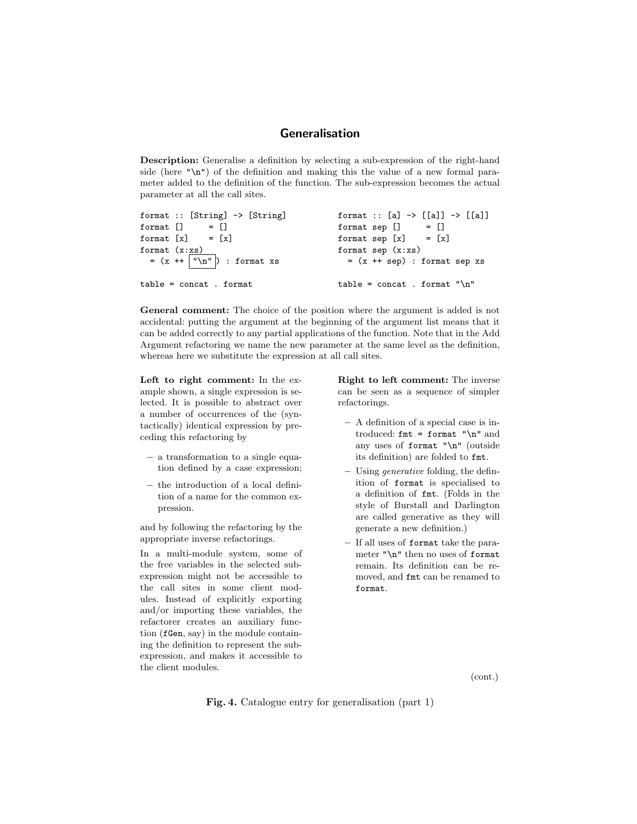#### Generalisation

Description: Generalise a definition by selecting a sub-expression of the right-hand side (here " $\langle n \rangle$ ") of the definition and making this the value of a new formal parameter added to the definition of the function. The sub-expression becomes the actual parameter at all the call sites.

| format :: [String] -> [String]  | format :: [a] -> [[a]] -> [[a]]             |
|---------------------------------|---------------------------------------------|
| format $[]$ = $[]$              | format sep $[]$ = $[]$                      |
| format $[x] = [x]$              | format sep $[x] = [x]$                      |
| format $(x:xs)$                 | format sep $(x:xs)$                         |
| $=$ $(x ++  "\n\ )$ : format xs | $= (x + \text{sep})$ : format sep xs        |
| $table = concat . format$       | table = concat . format " $\n\frac{n}{2}$ " |

<span id="page-8-0"></span>General comment: The choice of the position where the argument is added is not accidental: putting the argument at the beginning of the argument list means that it can be added correctly to any partial applications of the function. Note that in the Add Argument refactoring we name the new parameter at the same level as the definition, whereas here we substitute the expression at all call sites.

Left to right comment: In the example shown, a single expression is selected. It is possible to abstract over a number of occurrences of the (syntactically) identical expression by preceding this refactoring by

- a transformation to a single equation defined by a case expression;
- the introduction of a local definition of a name for the common expression.

and by following the refactoring by the appropriate inverse refactorings.

In a multi-module system, some of the free variables in the selected subexpression might not be accessible to the call sites in some client modules. Instead of explicitly exporting and/or importing these variables, the refactorer creates an auxiliary function (fGen, say) in the module containing the definition to represent the subexpression, and makes it accessible to the client modules.

Right to left comment: The inverse can be seen as a sequence of simpler refactorings.

- A definition of a special case is introduced: fmt = format "\n" and any uses of format "\n" (outside its definition) are folded to fmt.
- Using *generative* folding, the definition of format is specialised to a definition of fmt. (Folds in the style of Burstall and Darlington are called generative as they will generate a new definition.)
- If all uses of format take the parameter "\n" then no uses of format remain. Its definition can be removed, and fmt can be renamed to format.

(cont.)

Fig. 4. Catalogue entry for generalisation (part 1)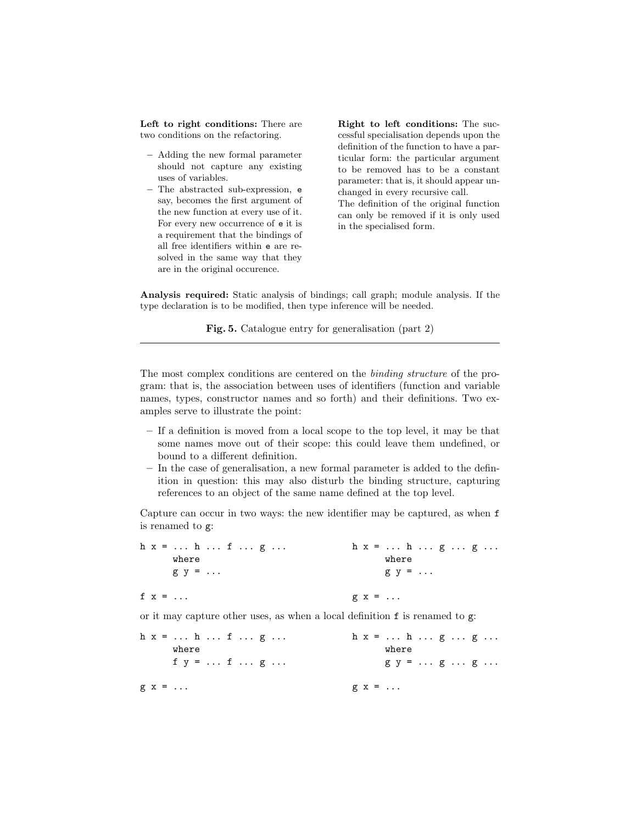Left to right conditions: There are two conditions on the refactoring.

- <span id="page-9-0"></span>– Adding the new formal parameter should not capture any existing uses of variables.
- The abstracted sub-expression, e say, becomes the first argument of the new function at every use of it. For every new occurrence of e it is a requirement that the bindings of all free identifiers within e are resolved in the same way that they are in the original occurence.

Right to left conditions: The successful specialisation depends upon the definition of the function to have a particular form: the particular argument to be removed has to be a constant parameter: that is, it should appear unchanged in every recursive call. The definition of the original function can only be removed if it is only used in the specialised form.

Analysis required: Static analysis of bindings; call graph; module analysis. If the type declaration is to be modified, then type inference will be needed.

Fig. 5. Catalogue entry for generalisation (part 2)

The most complex conditions are centered on the binding structure of the program: that is, the association between uses of identifiers (function and variable names, types, constructor names and so forth) and their definitions. Two examples serve to illustrate the point:

- If a definition is moved from a local scope to the top level, it may be that some names move out of their scope: this could leave them undefined, or bound to a different definition.
- In the case of generalisation, a new formal parameter is added to the definition in question: this may also disturb the binding structure, capturing references to an object of the same name defined at the top level.

Capture can occur in two ways: the new identifier may be captured, as when f is renamed to g:

| $h x =  h  f  g $ | $h x =  h  g  g $    |
|-------------------|----------------------|
| where             | where                |
| $g y = \ldots$    | $g y = \ldots$       |
| $f x = \ldots$    | $\beta$ x = $\ldots$ |
|                   |                      |

or it may capture other uses, as when a local definition f is renamed to g:

| $h x =  h  f  g $   | $h x =  h  g  g $                |
|---------------------|----------------------------------|
| where               | where                            |
| $f y =  f  g $      | $g y = \ldots g \ldots g \ldots$ |
| $g \times = \ldots$ | $g \times = \ldots$              |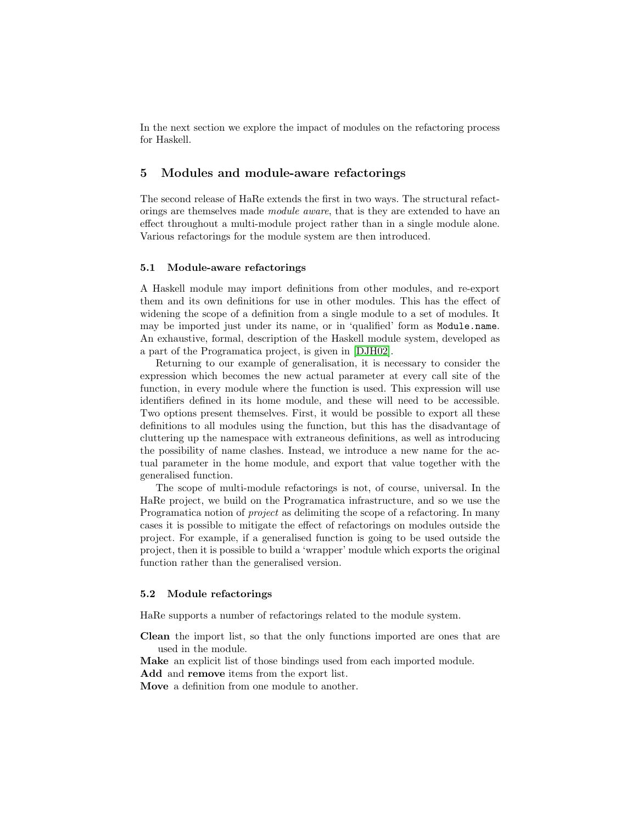In the next section we explore the impact of modules on the refactoring process for Haskell.

#### 5 Modules and module-aware refactorings

The second release of HaRe extends the first in two ways. The structural refactorings are themselves made module aware, that is they are extended to have an effect throughout a multi-module project rather than in a single module alone. Various refactorings for the module system are then introduced.

#### 5.1 Module-aware refactorings

A Haskell module may import definitions from other modules, and re-export them and its own definitions for use in other modules. This has the effect of widening the scope of a definition from a single module to a set of modules. It may be imported just under its name, or in 'qualified' form as Module.name. An exhaustive, formal, description of the Haskell module system, developed as a part of the Programatica project, is given in [\[DJH02\]](#page-25-8).

<span id="page-10-0"></span>Returning to our example of generalisation, it is necessary to consider the expression which becomes the new actual parameter at every call site of the function, in every module where the function is used. This expression will use identifiers defined in its home module, and these will need to be accessible. Two options present themselves. First, it would be possible to export all these definitions to all modules using the function, but this has the disadvantage of cluttering up the namespace with extraneous definitions, as well as introducing the possibility of name clashes. Instead, we introduce a new name for the actual parameter in the home module, and export that value together with the generalised function.

<span id="page-10-3"></span>The scope of multi-module refactorings is not, of course, universal. In the HaRe project, we build on the Programatica infrastructure, and so we use the Programatica notion of project as delimiting the scope of a refactoring. In many cases it is possible to mitigate the effect of refactorings on modules outside the project. For example, if a generalised function is going to be used outside the project, then it is possible to build a 'wrapper' module which exports the original function rather than the generalised version.

#### 5.2 Module refactorings

HaRe supports a number of refactorings related to the module system.

<span id="page-10-1"></span>Clean the import list, so that the only functions imported are ones that are used in the module.

<span id="page-10-2"></span>Make an explicit list of those bindings used from each imported module.

Add and remove items from the export list.

Move a definition from one module to another.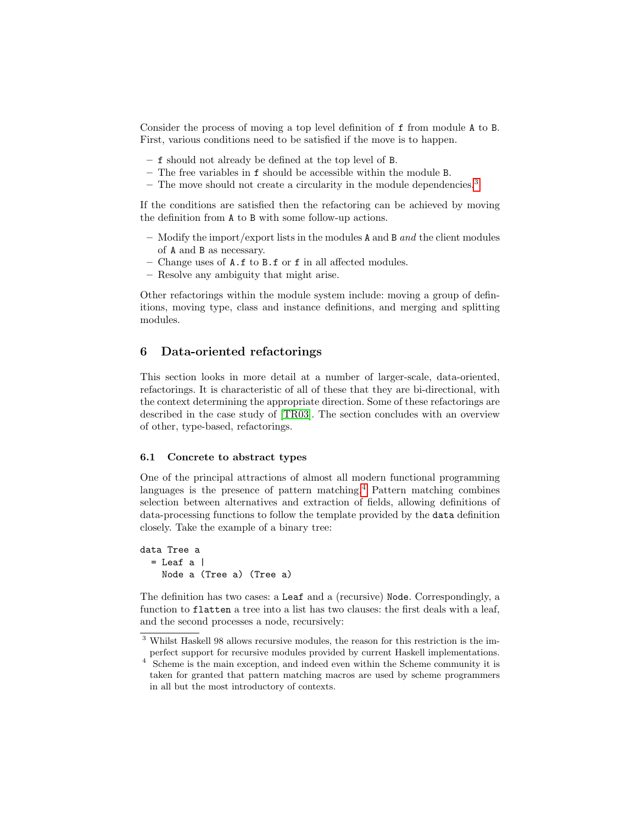Consider the process of moving a top level definition of f from module A to B. First, various conditions need to be satisfied if the move is to happen.

- f should not already be defined at the top level of B.
- The free variables in f should be accessible within the module B.
- $-$  The move should not create a circularity in the module dependencies.<sup>[3](#page-10-1)</sup>

If the conditions are satisfied then the refactoring can be achieved by moving the definition from A to B with some follow-up actions.

- $-$  Modify the import/export lists in the modules A and B and the client modules of A and B as necessary.
- Change uses of A.f to B.f or f in all affected modules.
- <span id="page-11-0"></span>– Resolve any ambiguity that might arise.

Other refactorings within the module system include: moving a group of definitions, moving type, class and instance definitions, and merging and splitting modules.

#### 6 Data-oriented refactorings

This section looks in more detail at a number of larger-scale, data-oriented, refactorings. It is characteristic of all of these that they are bi-directional, with the context determining the appropriate direction. Some of these refactorings are described in the case study of [\[TR03\]](#page-26-9). The section concludes with an overview of other, type-based, refactorings.

#### 6.1 Concrete to abstract types

One of the principal attractions of almost all modern functional programming languages is the presence of pattern matching.<sup>[4](#page-10-2)</sup> Pattern matching combines selection between alternatives and extraction of fields, allowing definitions of data-processing functions to follow the template provided by the data definition closely. Take the example of a binary tree:

```
data Tree a
  = Leaf a |Node a (Tree a) (Tree a)
```
The definition has two cases: a Leaf and a (recursive) Node. Correspondingly, a function to flatten a tree into a list has two clauses: the first deals with a leaf, and the second processes a node, recursively:

<sup>3</sup> Whilst Haskell 98 allows recursive modules, the reason for this restriction is the imperfect support for recursive modules provided by current Haskell implementations.

<sup>&</sup>lt;sup>4</sup> Scheme is the main exception, and indeed even within the Scheme community it is taken for granted that pattern matching macros are used by scheme programmers in all but the most introductory of contexts.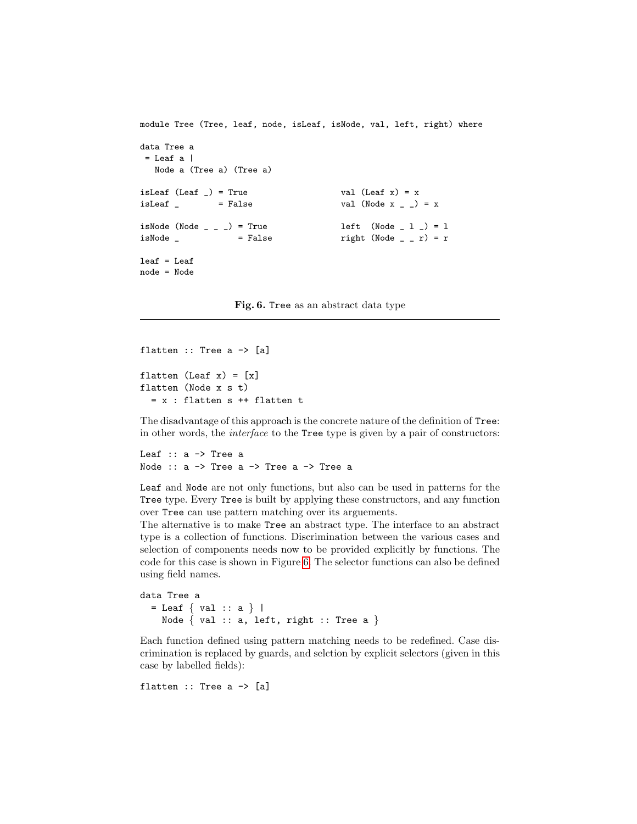module Tree (Tree, leaf, node, isLeaf, isNode, val, left, right) where data Tree a  $=$  Leaf a  $|$ Node a (Tree a) (Tree a)  $isLeaf$  (Leaf  $)$  = True val (Leaf  $x) = x$  $isLeaf \_ = False$   $val \ (Node \ x \_ ) = x$ isNode (Node  $\angle$   $\angle$   $\angle$  ) = True left (Node  $\angle$  1  $\angle$ ) = 1  $isNode \t = False$   $= False$   $right (Node \t = r) = r$ leaf = Leaf node = Node

Fig. 6. Tree as an abstract data type

```
flatten :: Tree a -> [a]
flatten (Leaf x) = [x]flatten (Node x s t)
  = x : flatten s ++ flatten t
```
The disadvantage of this approach is the concrete nature of the definition of Tree: in other words, the interface to the Tree type is given by a pair of constructors:

```
Leaf :: a \rightarrow Tree a
Node :: a \rightarrow Tree a \rightarrow Tree a \rightarrow Tree a
```
Leaf and Node are not only functions, but also can be used in patterns for the Tree type. Every Tree is built by applying these constructors, and any function over Tree can use pattern matching over its arguements.

The alternative is to make Tree an abstract type. The interface to an abstract type is a collection of functions. Discrimination between the various cases and selection of components needs now to be provided explicitly by functions. The code for this case is shown in Figure [6.](#page-11-0) The selector functions can also be defined using field names.

```
data Tree a
  = Leaf \{ val : : a \}Node \{ val : : a, left, right : : Tree a \}
```
Each function defined using pattern matching needs to be redefined. Case discrimination is replaced by guards, and selction by explicit selectors (given in this case by labelled fields):

<span id="page-12-0"></span>flatten :: Tree a -> [a]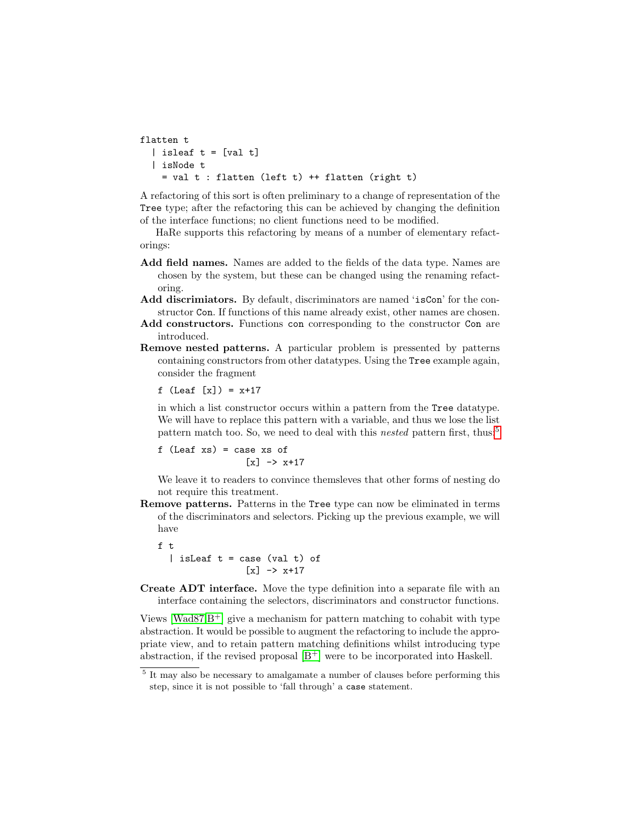```
flatten t
  | isleaf t = [val t]| isNode t
    = val t : flatten (left t) ++ flatten (right t)
```
A refactoring of this sort is often preliminary to a change of representation of the Tree type; after the refactoring this can be achieved by changing the definition of the interface functions; no client functions need to be modified.

<span id="page-13-0"></span>HaRe supports this refactoring by means of a number of elementary refactorings:

Add field names. Names are added to the fields of the data type. Names are chosen by the system, but these can be changed using the renaming refactoring.

Add discrimiators. By default, discriminators are named 'isCon' for the constructor Con. If functions of this name already exist, other names are chosen.

- Add constructors. Functions con corresponding to the constructor Con are introduced.
- Remove nested patterns. A particular problem is pressented by patterns containing constructors from other datatypes. Using the Tree example again, consider the fragment

f (Leaf  $[x]$ ) =  $x+17$ 

in which a list constructor occurs within a pattern from the Tree datatype. We will have to replace this pattern with a variable, and thus we lose the list pattern match too. So, we need to deal with this *nested* pattern first, thus:<sup>[5](#page-12-0)</sup>

```
f (Leaf xs) = case xs of
                    [x] \rightarrow x+17
```
We leave it to readers to convince themsleves that other forms of nesting do not require this treatment.

Remove patterns. Patterns in the Tree type can now be eliminated in terms of the discriminators and selectors. Picking up the previous example, we will have

```
f t
  | isLeaf t = case (val t) of
                    [x] \rightarrow x+17
```
Create ADT interface. Move the type definition into a separate file with an interface containing the selectors, discriminators and constructor functions.

Views  $[Wad87,B^+]$  $[Wad87,B^+]$  $[Wad87,B^+]$  give a mechanism for pattern matching to cohabit with type abstraction. It would be possible to augment the refactoring to include the appropriate view, and to retain pattern matching definitions whilst introducing type abstraction, if the revised proposal  $[B^+]$  were to be incorporated into Haskell.

<sup>&</sup>lt;sup>5</sup> It may also be necessary to amalgamate a number of clauses before performing this step, since it is not possible to 'fall through' a case statement.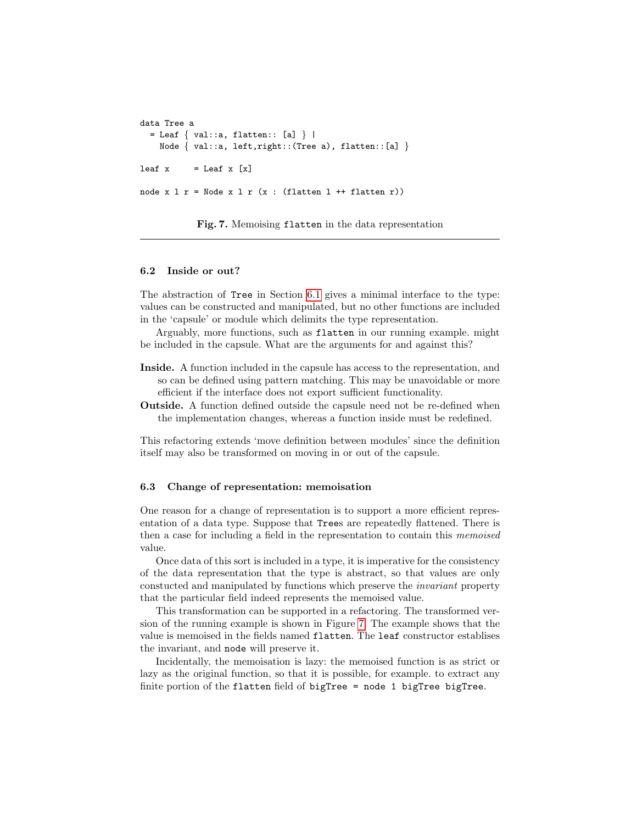```
data Tree a
 = Leaf \{ val::a, flatten:: [a] \} |
   Node \{ val: :a, left, right: : (Tree a), flatten: : [a] \}leaf x = Leaf x [x]node x l r = Node x l r (x : (flatten l ++ flatten r))
```
<span id="page-14-0"></span>Fig. 7. Memoising flatten in the data representation

#### 6.2 Inside or out?

The abstraction of Tree in Section [6.1](#page-10-3) gives a minimal interface to the type: values can be constructed and manipulated, but no other functions are included in the 'capsule' or module which delimits the type representation.

Arguably, more functions, such as flatten in our running example. might be included in the capsule. What are the arguments for and against this?

- Inside. A function included in the capsule has access to the representation, and so can be defined using pattern matching. This may be unavoidable or more efficient if the interface does not export sufficient functionality.
- Outside. A function defined outside the capsule need not be re-defined when the implementation changes, whereas a function inside must be redefined.

This refactoring extends 'move definition between modules' since the definition itself may also be transformed on moving in or out of the capsule.

#### 6.3 Change of representation: memoisation

One reason for a change of representation is to support a more efficient representation of a data type. Suppose that Trees are repeatedly flattened. There is then a case for including a field in the representation to contain this memoised value.

Once data of this sort is included in a type, it is imperative for the consistency of the data representation that the type is abstract, so that values are only constucted and manipulated by functions which preserve the invariant property that the particular field indeed represents the memoised value.

This transformation can be supported in a refactoring. The transformed version of the running example is shown in Figure [7.](#page-13-0) The example shows that the value is memoised in the fields named flatten. The leaf constructor establises the invariant, and node will preserve it.

<span id="page-14-1"></span>Incidentally, the memoisation is lazy: the memoised function is as strict or lazy as the original function, so that it is possible, for example. to extract any finite portion of the flatten field of bigTree = node 1 bigTree bigTree.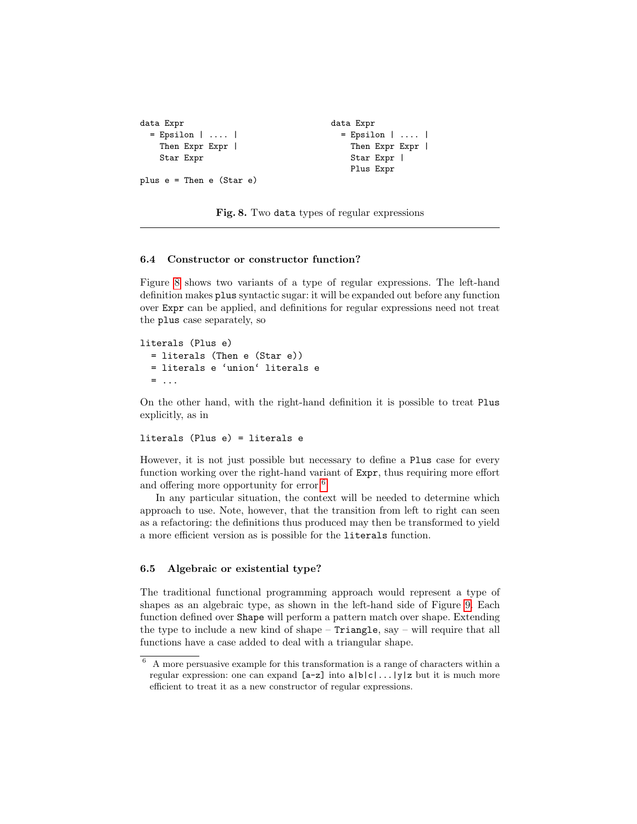```
data Expr data Expr
 = Epsilon | \ldots | = Epsilon | \ldots |Then Expr Expr | Then Expr Expr |
  Star Expr | Star Expr |
                          Plus Expr
plus e = Then e (Star e)
```
Fig. 8. Two data types of regular expressions

#### 6.4 Constructor or constructor function?

Figure [8](#page-14-0) shows two variants of a type of regular expressions. The left-hand definition makes plus syntactic sugar: it will be expanded out before any function over Expr can be applied, and definitions for regular expressions need not treat the plus case separately, so

```
literals (Plus e)
  = literals (Then e (Star e))
  = literals e 'union' literals e
  = ...
```
On the other hand, with the right-hand definition it is possible to treat Plus explicitly, as in

```
literals (Plus e) = literals e
```
However, it is not just possible but necessary to define a Plus case for every function working over the right-hand variant of Expr, thus requiring more effort and offering more opportunity for error.[6](#page-14-1)

In any particular situation, the context will be needed to determine which approach to use. Note, however, that the transition from left to right can seen as a refactoring: the definitions thus produced may then be transformed to yield a more efficient version as is possible for the literals function.

#### 6.5 Algebraic or existential type?

The traditional functional programming approach would represent a type of shapes as an algebraic type, as shown in the left-hand side of Figure [9.](#page-15-0) Each function defined over Shape will perform a pattern match over shape. Extending the type to include a new kind of shape  $-$  Triangle, say  $-$  will require that all functions have a case added to deal with a triangular shape.

<span id="page-15-2"></span><span id="page-15-1"></span> $^6\;$  A more persuasive example for this transformation is a range of characters within a regular expression: one can expand  $[a-z]$  into  $a|b|c|...|y|z$  but it is much more efficient to treat it as a new constructor of regular expressions.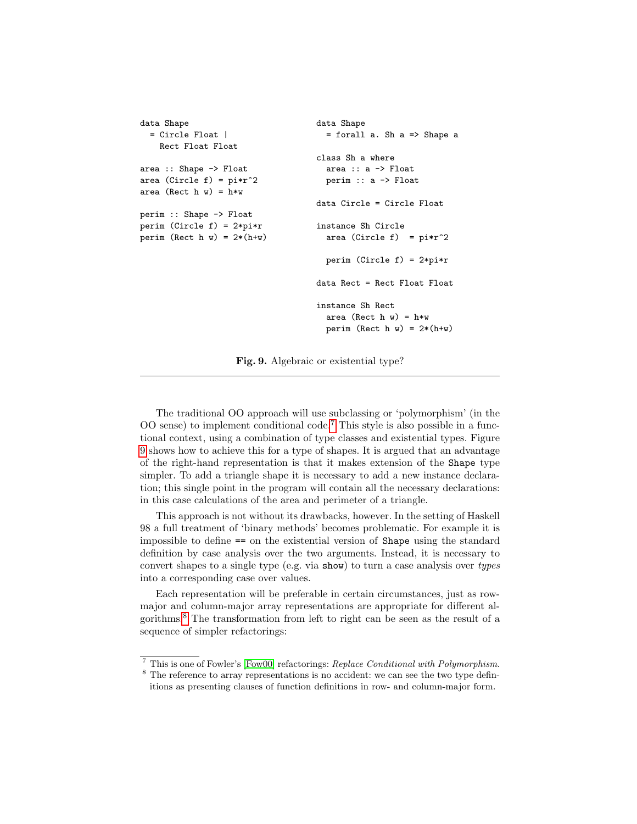```
data Shape data Shape
 = Circle Float | = forall a. Sh a => Shape a
   Rect Float Float
                              class Sh a where
area :: Shape -> Float area :: a -> Float
area (Circle f) = pi*r^2 perim :: a -> Float
area (Rect h w) = h*w
                              data Circle = Circle Float
perim :: Shape -> Float
perim (Circle f) = 2*pi*r instance Sh Circle
perim (Rect h w) = 2*(h+w) area (Circle f) = pi*r^2perim (Circle f) = 2*pi*r
                              data Rect = Rect Float Float
                              instance Sh Rect
                                area (Rect h w) = h*w
                                perim (Rect h w) = 2*(h+w)
```
<span id="page-16-0"></span>Fig. 9. Algebraic or existential type?

The traditional OO approach will use subclassing or 'polymorphism' (in the OO sense) to implement conditional code.[7](#page-15-1) This style is also possible in a functional context, using a combination of type classes and existential types. Figure [9](#page-15-0) shows how to achieve this for a type of shapes. It is argued that an advantage of the right-hand representation is that it makes extension of the Shape type simpler. To add a triangle shape it is necessary to add a new instance declaration; this single point in the program will contain all the necessary declarations: in this case calculations of the area and perimeter of a triangle.

This approach is not without its drawbacks, however. In the setting of Haskell 98 a full treatment of 'binary methods' becomes problematic. For example it is impossible to define == on the existential version of Shape using the standard definition by case analysis over the two arguments. Instead, it is necessary to convert shapes to a single type (e.g. via show) to turn a case analysis over types into a corresponding case over values.

Each representation will be preferable in certain circumstances, just as rowmajor and column-major array representations are appropriate for different algorithms.[8](#page-15-2) The transformation from left to right can be seen as the result of a sequence of simpler refactorings:

<sup>7</sup> This is one of Fowler's [\[Fow00\]](#page-25-0) refactorings: *Replace Conditional with Polymorphism*.

 $8$  The reference to array representations is no accident: we can see the two type definitions as presenting clauses of function definitions in row- and column-major form.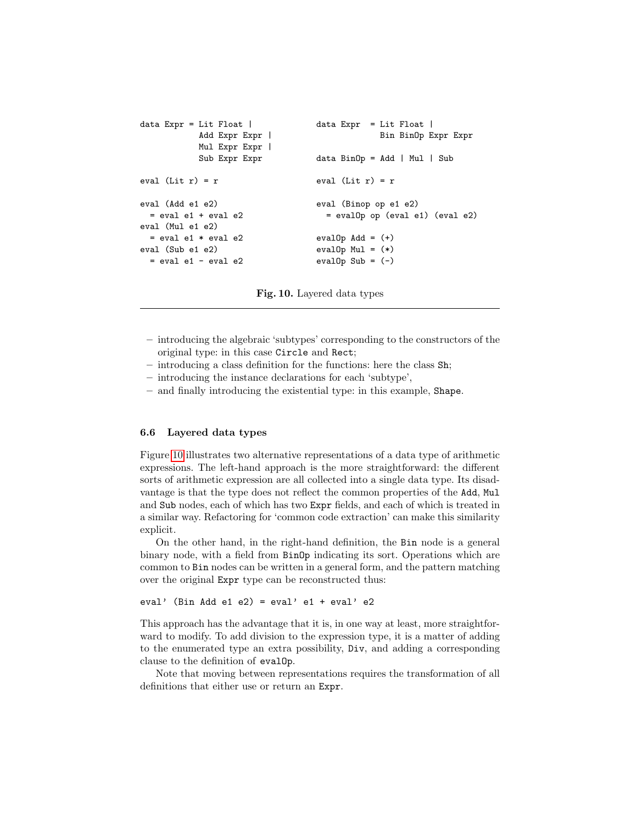```
data Expr = Lit Float | data Expr = Lit Float |
        Add Expr Expr | Bin BinOp Expr Expr
        Mul Expr Expr |
        Sub Expr Expr data BinOp = Add | Mul | Sub
eval (Lit r) = r eval (Lit r) = reval (Add e1 e2) eval (Binop op e1 e2)
 = eval e1 + eval e2 = evalOp op (eval e1) (eval e2)
eval (Mul e1 e2)
 = eval e1 * eval e2 evalOp Add = (+)
eval (Sub e1 e2) evalOp Mul = (*)= eval e1 - eval e2 evalOp Sub = (-)
```
<span id="page-17-0"></span>Fig. 10. Layered data types

- introducing the algebraic 'subtypes' corresponding to the constructors of the original type: in this case Circle and Rect;
- introducing a class definition for the functions: here the class Sh;
- introducing the instance declarations for each 'subtype',
- and finally introducing the existential type: in this example, Shape.

#### 6.6 Layered data types

Figure [10](#page-16-0) illustrates two alternative representations of a data type of arithmetic expressions. The left-hand approach is the more straightforward: the different sorts of arithmetic expression are all collected into a single data type. Its disadvantage is that the type does not reflect the common properties of the Add, Mul and Sub nodes, each of which has two Expr fields, and each of which is treated in a similar way. Refactoring for 'common code extraction' can make this similarity explicit.

On the other hand, in the right-hand definition, the Bin node is a general binary node, with a field from BinOp indicating its sort. Operations which are common to Bin nodes can be written in a general form, and the pattern matching over the original Expr type can be reconstructed thus:

eval' (Bin Add e1 e2) = eval' e1 + eval' e2

This approach has the advantage that it is, in one way at least, more straightforward to modify. To add division to the expression type, it is a matter of adding to the enumerated type an extra possibility, Div, and adding a corresponding clause to the definition of evalOp.

Note that moving between representations requires the transformation of all definitions that either use or return an Expr.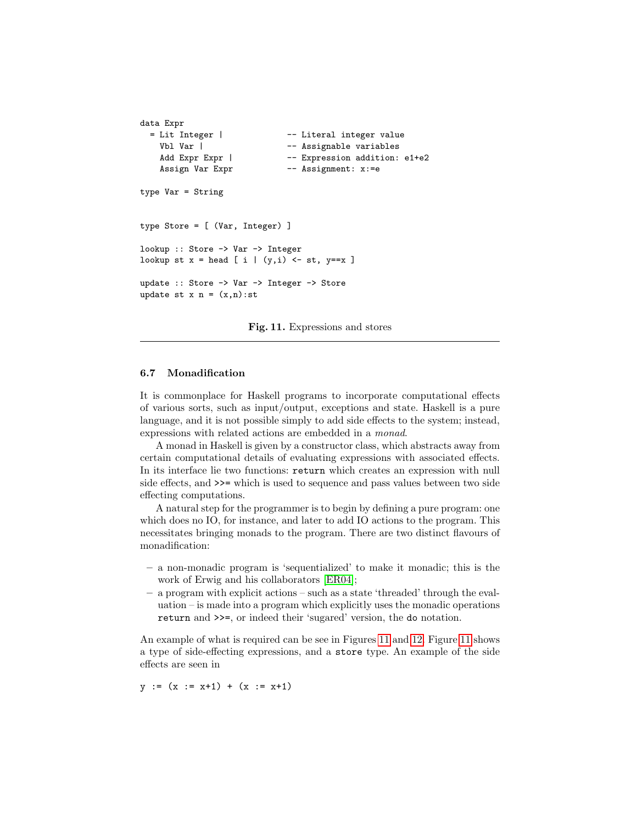```
data Expr
 = Lit Integer | -- Literal integer value
   Vbl Var | -- Assignable variables
   Add Expr Expr | -- Expression addition: e1+e2
   Assign Var Expr -- Assignment: x:=e
type Var = String
type Store = [ (Var, Integer) ]
lookup :: Store -> Var -> Integer
lookup st x = head [ i | (y,i) < -st, y == x ]update :: Store -> Var -> Integer -> Store
update st x n = (x,n): st
```
<span id="page-18-0"></span>Fig. 11. Expressions and stores

#### 6.7 Monadification

It is commonplace for Haskell programs to incorporate computational effects of various sorts, such as input/output, exceptions and state. Haskell is a pure language, and it is not possible simply to add side effects to the system; instead, expressions with related actions are embedded in a monad.

A monad in Haskell is given by a constructor class, which abstracts away from certain computational details of evaluating expressions with associated effects. In its interface lie two functions: return which creates an expression with null side effects, and >>= which is used to sequence and pass values between two side effecting computations.

A natural step for the programmer is to begin by defining a pure program: one which does no IO, for instance, and later to add IO actions to the program. This necessitates bringing monads to the program. There are two distinct flavours of monadification:

- a non-monadic program is 'sequentialized' to make it monadic; this is the work of Erwig and his collaborators [\[ER04\]](#page-25-10);
- a program with explicit actions such as a state 'threaded' through the evaluation – is made into a program which explicitly uses the monadic operations return and >>=, or indeed their 'sugared' version, the do notation.

An example of what is required can be see in Figures [11](#page-17-0) and [12.](#page-18-0) Figure [11](#page-17-0) shows a type of side-effecting expressions, and a store type. An example of the side effects are seen in

 $y := (x := x+1) + (x := x+1)$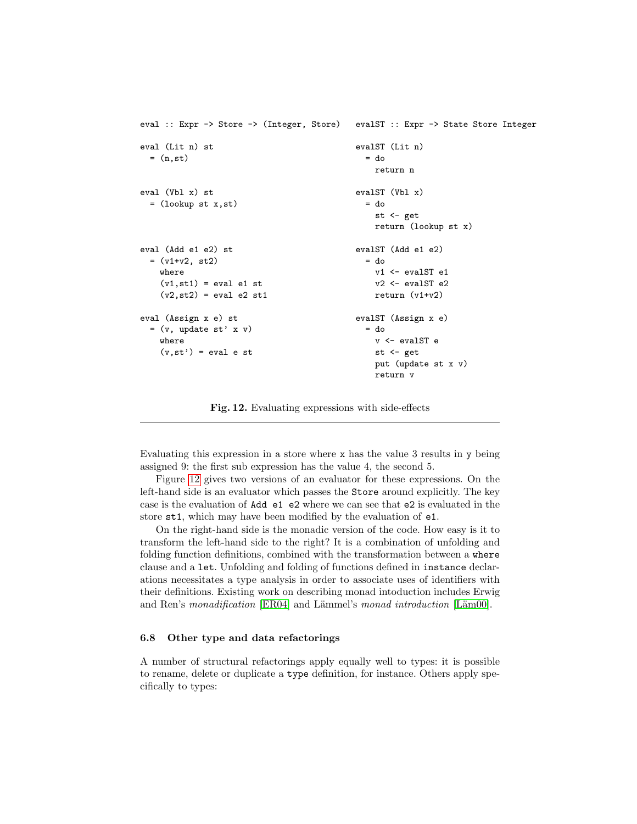```
eval :: Expr -> Store -> (Integer, Store) evalST :: Expr -> State Store Integer
eval (Lit n) st evalST (Lit n)
 =(n,st) = do
                              return n
eval (Vbl x) st evalST (Vbl x)
 = (lookup st x, st) = do
                              st <- get
                              return (lookup st x)
eval (Add e1 e2) st evalST (Add e1 e2)
 = (v1+v2, st2) = do
  where v1 \le r evalST e1
  (v1, st1) = eval e1 st v2 \leftarrow evalST e2(v2, st2) = eval e2 st1 return (v1+v2)eval (Assign x e) st evalST (Assign x e)
 = (v, update st' x v) = do
  where v \leftarrow \text{evalST} e
  (v, st') = eval e st st <- get
                              put (update st x v)
                              return v
```
Fig. 12. Evaluating expressions with side-effects

<span id="page-19-0"></span>Evaluating this expression in a store where x has the value 3 results in y being assigned 9: the first sub expression has the value 4, the second 5.

Figure [12](#page-18-0) gives two versions of an evaluator for these expressions. On the left-hand side is an evaluator which passes the Store around explicitly. The key case is the evaluation of Add e1 e2 where we can see that e2 is evaluated in the store st1, which may have been modified by the evaluation of e1.

On the right-hand side is the monadic version of the code. How easy is it to transform the left-hand side to the right? It is a combination of unfolding and folding function definitions, combined with the transformation between a where clause and a let. Unfolding and folding of functions defined in instance declarations necessitates a type analysis in order to associate uses of identifiers with their definitions. Existing work on describing monad intoduction includes Erwig and Ren's monadification [\[ER04\]](#page-25-10) and Lämmel's monad introduction [Läm00].

#### 6.8 Other type and data refactorings

A number of structural refactorings apply equally well to types: it is possible to rename, delete or duplicate a type definition, for instance. Others apply specifically to types: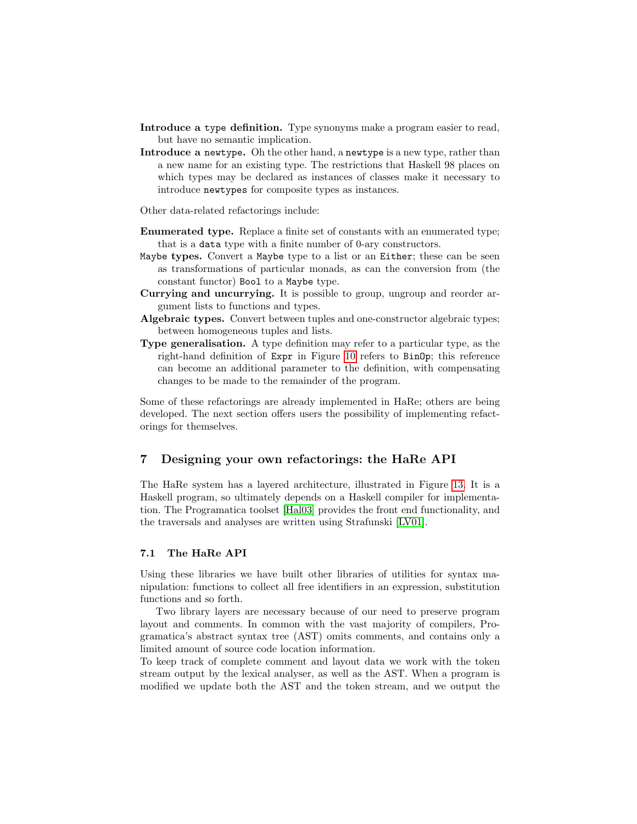- Introduce a type definition. Type synonyms make a program easier to read, but have no semantic implication.
- Introduce a newtype. Oh the other hand, a newtype is a new type, rather than a new name for an existing type. The restrictions that Haskell 98 places on which types may be declared as instances of classes make it necessary to introduce newtypes for composite types as instances.

Other data-related refactorings include:

- Enumerated type. Replace a finite set of constants with an enumerated type; that is a data type with a finite number of 0-ary constructors.
- Maybe types. Convert a Maybe type to a list or an Either; these can be seen as transformations of particular monads, as can the conversion from (the constant functor) Bool to a Maybe type.
- Currying and uncurrying. It is possible to group, ungroup and reorder argument lists to functions and types.
- <span id="page-20-0"></span>Algebraic types. Convert between tuples and one-constructor algebraic types; between homogeneous tuples and lists.
- Type generalisation. A type definition may refer to a particular type, as the right-hand definition of Expr in Figure [10](#page-16-0) refers to BinOp; this reference can become an additional parameter to the definition, with compensating changes to be made to the remainder of the program.

Some of these refactorings are already implemented in HaRe; others are being developed. The next section offers users the possibility of implementing refactorings for themselves.

#### 7 Designing your own refactorings: the HaRe API

The HaRe system has a layered architecture, illustrated in Figure [13.](#page-20-0) It is a Haskell program, so ultimately depends on a Haskell compiler for implementation. The Programatica toolset [\[Hal03\]](#page-25-6) provides the front end functionality, and the traversals and analyses are written using Strafunski [\[LV01\]](#page-26-2).

#### 7.1 The HaRe API

Using these libraries we have built other libraries of utilities for syntax manipulation: functions to collect all free identifiers in an expression, substitution functions and so forth.

Two library layers are necessary because of our need to preserve program layout and comments. In common with the vast majority of compilers, Programatica's abstract syntax tree (AST) omits comments, and contains only a limited amount of source code location information.

To keep track of complete comment and layout data we work with the token stream output by the lexical analyser, as well as the AST. When a program is modified we update both the AST and the token stream, and we output the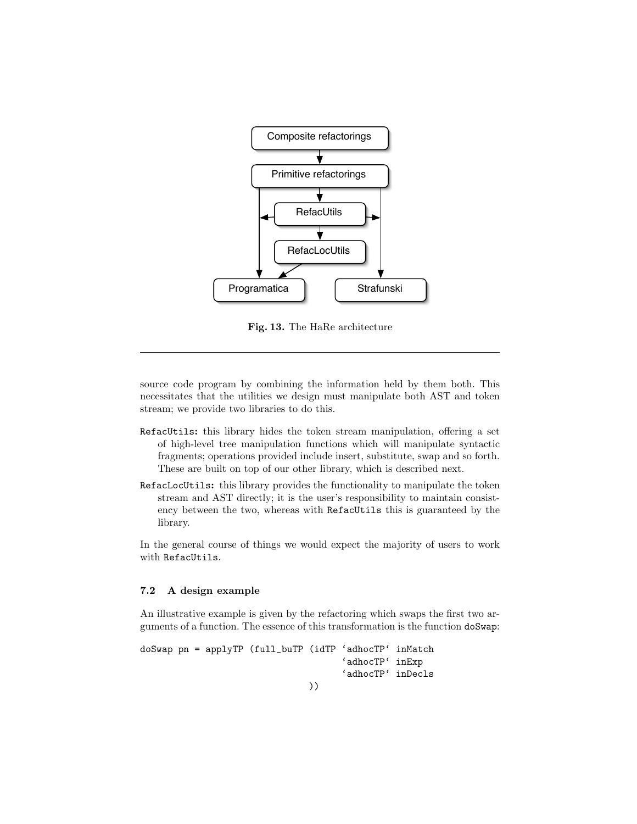

<span id="page-21-0"></span>Fig. 13. The HaRe architecture

source code program by combining the information held by them both. This necessitates that the utilities we design must manipulate both AST and token stream; we provide two libraries to do this.

- RefacUtils: this library hides the token stream manipulation, offering a set of high-level tree manipulation functions which will manipulate syntactic fragments; operations provided include insert, substitute, swap and so forth. These are built on top of our other library, which is described next.
- RefacLocUtils: this library provides the functionality to manipulate the token stream and AST directly; it is the user's responsibility to maintain consistency between the two, whereas with RefacUtils this is guaranteed by the library.

In the general course of things we would expect the majority of users to work with RefacUtils.

#### 7.2 A design example

<span id="page-21-1"></span>An illustrative example is given by the refactoring which swaps the first two arguments of a function. The essence of this transformation is the function doSwap:

```
doSwap pn = applyTP (full_buTP (idTP 'adhocTP' inMatch
                                     'adhocTP' inExp
                                     'adhocTP' inDecls
                               ))
```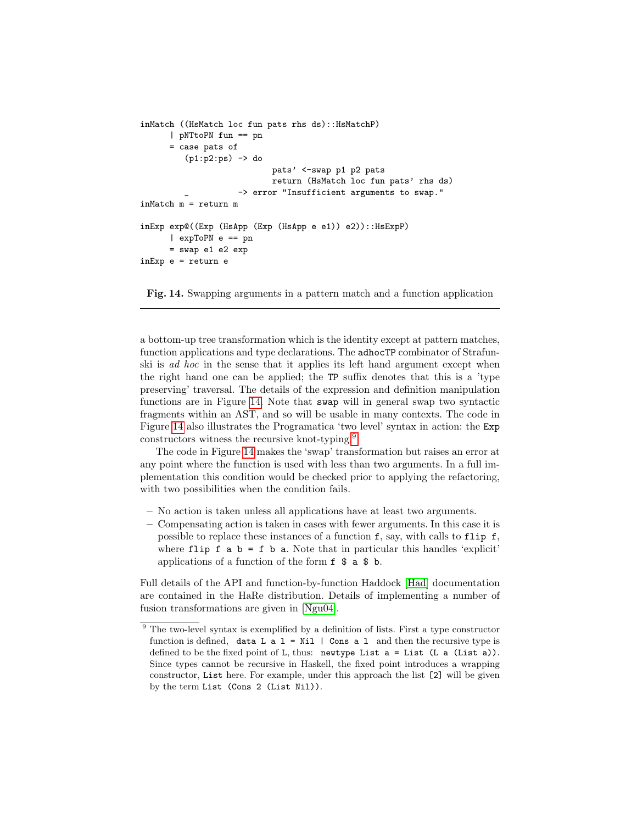```
inMatch ((HsMatch loc fun pats rhs ds)::HsMatchP)
      | pNTtoPN fun == pn
      = case pats of
         (p1:p2:ps) -> do
                           pats' <-swap p1 p2 pats
                           return (HsMatch loc fun pats' rhs ds)
                    -> error "Insufficient arguments to swap."
inMatch m = return m
inExp exp@((Exp (HsApp (Exp (HsApp e e1)) e2))::HsExpP)
      | expToPN e == pn
      = swap e1 e2 exp
inExp e = return e
```
Fig. 14. Swapping arguments in a pattern match and a function application

a bottom-up tree transformation which is the identity except at pattern matches, function applications and type declarations. The adhocTP combinator of Strafunski is ad hoc in the sense that it applies its left hand argument except when the right hand one can be applied; the TP suffix denotes that this is a 'type preserving' traversal. The details of the expression and definition manipulation functions are in Figure [14.](#page-21-0) Note that swap will in general swap two syntactic fragments within an AST, and so will be usable in many contexts. The code in Figure [14](#page-21-0) also illustrates the Programatica 'two level' syntax in action: the Exp constructors witness the recursive knot-typing.[9](#page-21-1)

The code in Figure [14](#page-21-0) makes the 'swap' transformation but raises an error at any point where the function is used with less than two arguments. In a full implementation this condition would be checked prior to applying the refactoring, with two possibilities when the condition fails.

- No action is taken unless all applications have at least two arguments.
- Compensating action is taken in cases with fewer arguments. In this case it is possible to replace these instances of a function f, say, with calls to flip f, where flip f  $a$   $b = f b$  a. Note that in particular this handles 'explicit' applications of a function of the form  $f$   $\phi$  a  $\phi$  b.

Full details of the API and function-by-function Haddock [\[Had\]](#page-25-11) documentation are contained in the HaRe distribution. Details of implementing a number of fusion transformations are given in [\[Ngu04\]](#page-26-12).

 $9$  The two-level syntax is exemplified by a definition of lists. First a type constructor function is defined, data L a  $l = Nil$  | Cons a l and then the recursive type is defined to be the fixed point of L, thus: newtype List a = List (L a (List a)). Since types cannot be recursive in Haskell, the fixed point introduces a wrapping constructor, List here. For example, under this approach the list [2] will be given by the term List (Cons 2 (List Nil)).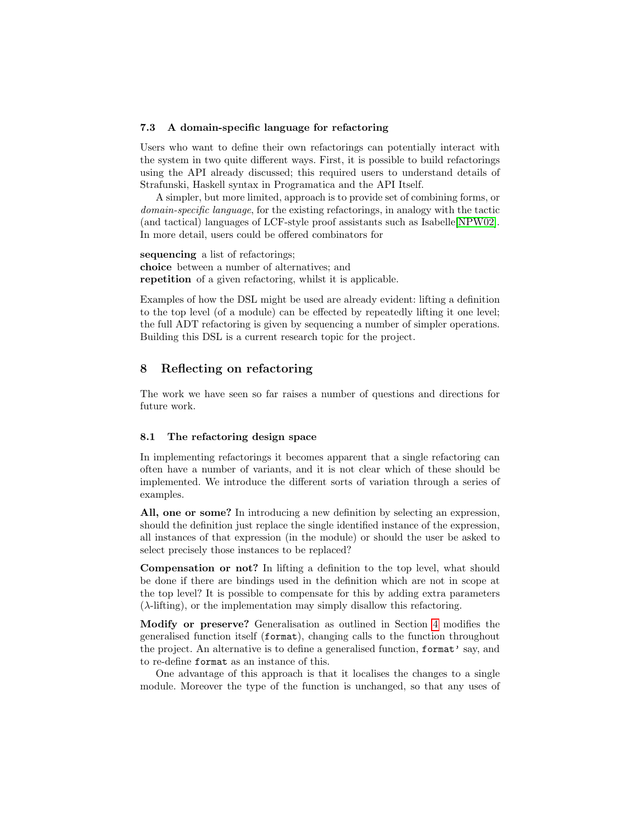#### 7.3 A domain-specific language for refactoring

Users who want to define their own refactorings can potentially interact with the system in two quite different ways. First, it is possible to build refactorings using the API already discussed; this required users to understand details of Strafunski, Haskell syntax in Programatica and the API Itself.

A simpler, but more limited, approach is to provide set of combining forms, or domain-specific language, for the existing refactorings, in analogy with the tactic (and tactical) languages of LCF-style proof assistants such as Isabelle[\[NPW02\]](#page-26-13). In more detail, users could be offered combinators for

sequencing a list of refactorings; choice between a number of alternatives; and repetition of a given refactoring, whilst it is applicable.

Examples of how the DSL might be used are already evident: lifting a definition to the top level (of a module) can be effected by repeatedly lifting it one level; the full ADT refactoring is given by sequencing a number of simpler operations. Building this DSL is a current research topic for the project.

#### 8 Reflecting on refactoring

The work we have seen so far raises a number of questions and directions for future work.

#### 8.1 The refactoring design space

In implementing refactorings it becomes apparent that a single refactoring can often have a number of variants, and it is not clear which of these should be implemented. We introduce the different sorts of variation through a series of examples.

All, one or some? In introducing a new definition by selecting an expression, should the definition just replace the single identified instance of the expression, all instances of that expression (in the module) or should the user be asked to select precisely those instances to be replaced?

Compensation or not? In lifting a definition to the top level, what should be done if there are bindings used in the definition which are not in scope at the top level? It is possible to compensate for this by adding extra parameters  $(\lambda$ -lifting), or the implementation may simply disallow this refactoring.

Modify or preserve? Generalisation as outlined in Section [4](#page-6-0) modifies the generalised function itself (format), changing calls to the function throughout the project. An alternative is to define a generalised function, format' say, and to re-define format as an instance of this.

<span id="page-23-1"></span><span id="page-23-0"></span>One advantage of this approach is that it localises the changes to a single module. Moreover the type of the function is unchanged, so that any uses of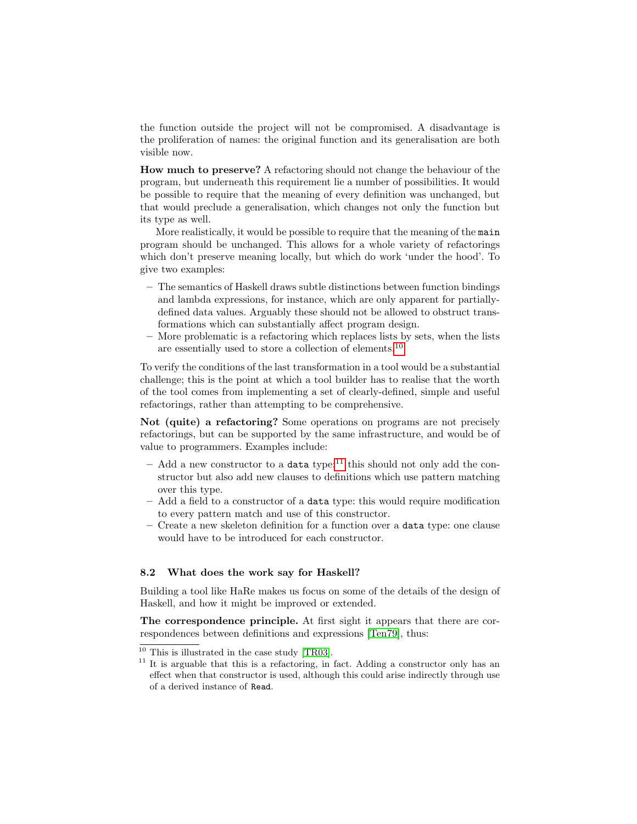the function outside the project will not be compromised. A disadvantage is the proliferation of names: the original function and its generalisation are both visible now.

How much to preserve? A refactoring should not change the behaviour of the program, but underneath this requirement lie a number of possibilities. It would be possible to require that the meaning of every definition was unchanged, but that would preclude a generalisation, which changes not only the function but its type as well.

More realistically, it would be possible to require that the meaning of the main program should be unchanged. This allows for a whole variety of refactorings which don't preserve meaning locally, but which do work 'under the hood'. To give two examples:

- The semantics of Haskell draws subtle distinctions between function bindings and lambda expressions, for instance, which are only apparent for partiallydefined data values. Arguably these should not be allowed to obstruct transformations which can substantially affect program design.
- More problematic is a refactoring which replaces lists by sets, when the lists are essentially used to store a collection of elements.[10](#page-23-0)

To verify the conditions of the last transformation in a tool would be a substantial challenge; this is the point at which a tool builder has to realise that the worth of the tool comes from implementing a set of clearly-defined, simple and useful refactorings, rather than attempting to be comprehensive.

Not (quite) a refactoring? Some operations on programs are not precisely refactorings, but can be supported by the same infrastructure, and would be of value to programmers. Examples include:

- $-$  Add a new constructor to a data type:<sup>[11](#page-23-1)</sup> this should not only add the constructor but also add new clauses to definitions which use pattern matching over this type.
- Add a field to a constructor of a data type: this would require modification to every pattern match and use of this constructor.
- Create a new skeleton definition for a function over a data type: one clause would have to be introduced for each constructor.

#### 8.2 What does the work say for Haskell?

Building a tool like HaRe makes us focus on some of the details of the design of Haskell, and how it might be improved or extended.

The correspondence principle. At first sight it appears that there are correspondences between definitions and expressions [\[Ten79\]](#page-26-14), thus:

 $10$  This is illustrated in the case study [\[TR03\]](#page-26-9).

 $11$  It is arguable that this is a refactoring, in fact. Adding a constructor only has an effect when that constructor is used, although this could arise indirectly through use of a derived instance of Read.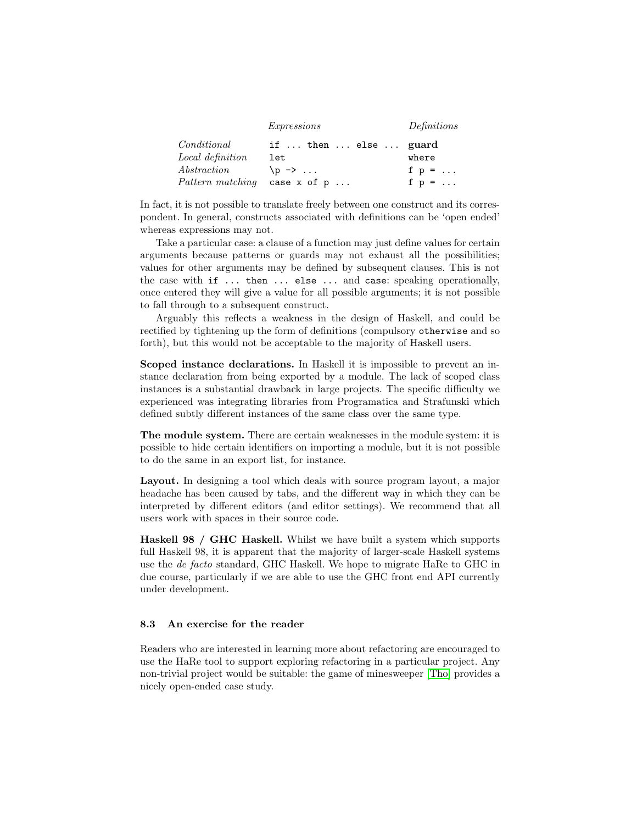|                  | <i>Expressions</i>                         | Definitions |
|------------------|--------------------------------------------|-------------|
| Conditional      | if $\dots$ then $\dots$ else $\dots$ guard |             |
| Local definition | let                                        | where       |
| Abstraction      | $\pmb{\wedge} p \rightarrow \ldots$        | f $p = $    |
| Pattern matching | case $x$ of $p$                            | f $p = $    |

In fact, it is not possible to translate freely between one construct and its correspondent. In general, constructs associated with definitions can be 'open ended' whereas expressions may not.

Take a particular case: a clause of a function may just define values for certain arguments because patterns or guards may not exhaust all the possibilities; values for other arguments may be defined by subsequent clauses. This is not the case with if ... then ... else ... and case: speaking operationally, once entered they will give a value for all possible arguments; it is not possible to fall through to a subsequent construct.

Arguably this reflects a weakness in the design of Haskell, and could be rectified by tightening up the form of definitions (compulsory otherwise and so forth), but this would not be acceptable to the majority of Haskell users.

Scoped instance declarations. In Haskell it is impossible to prevent an instance declaration from being exported by a module. The lack of scoped class instances is a substantial drawback in large projects. The specific difficulty we experienced was integrating libraries from Programatica and Strafunski which defined subtly different instances of the same class over the same type.

<span id="page-25-9"></span><span id="page-25-7"></span>The module system. There are certain weaknesses in the module system: it is possible to hide certain identifiers on importing a module, but it is not possible to do the same in an export list, for instance.

<span id="page-25-8"></span><span id="page-25-3"></span>Layout. In designing a tool which deals with source program layout, a major headache has been caused by tabs, and the different way in which they can be interpreted by different editors (and editor settings). We recommend that all users work with spaces in their source code.

<span id="page-25-10"></span><span id="page-25-4"></span><span id="page-25-1"></span><span id="page-25-0"></span>Haskell 98 / GHC Haskell. Whilst we have built a system which supports full Haskell 98, it is apparent that the majority of larger-scale Haskell systems use the de facto standard, GHC Haskell. We hope to migrate HaRe to GHC in due course, particularly if we are able to use the GHC front end API currently under development.

#### <span id="page-25-11"></span><span id="page-25-2"></span>8.3 An exercise for the reader

<span id="page-25-6"></span><span id="page-25-5"></span>Readers who are interested in learning more about refactoring are encouraged to use the HaRe tool to support exploring refactoring in a particular project. Any non-trivial project would be suitable: the game of minesweeper [\[Tho\]](#page-26-15) provides a nicely open-ended case study.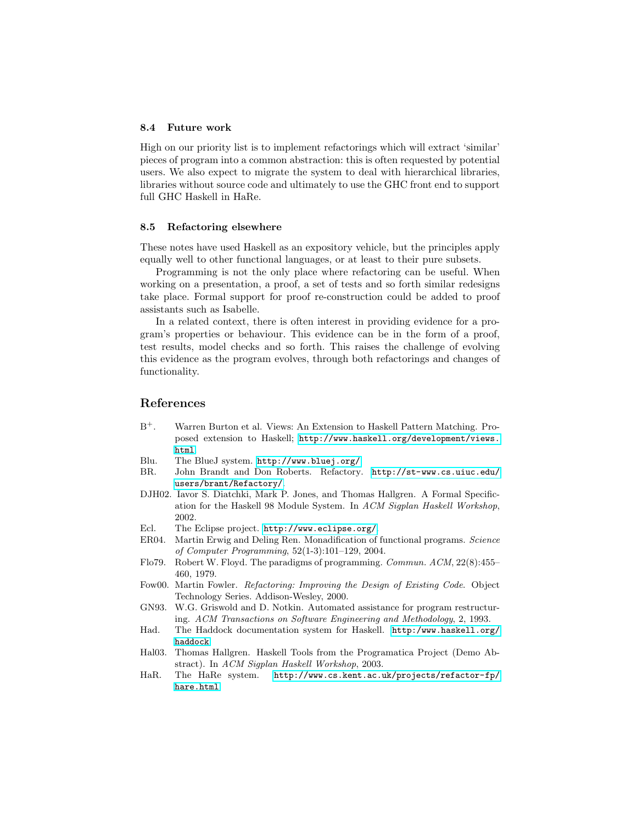#### <span id="page-26-11"></span>8.4 Future work

<span id="page-26-5"></span>High on our priority list is to implement refactorings which will extract 'similar' pieces of program into a common abstraction: this is often requested by potential users. We also expect to migrate the system to deal with hierarchical libraries, libraries without source code and ultimately to use the GHC front end to support full GHC Haskell in HaRe.

#### <span id="page-26-7"></span><span id="page-26-6"></span>8.5 Refactoring elsewhere

These notes have used Haskell as an expository vehicle, but the principles apply equally well to other functional languages, or at least to their pure subsets.

<span id="page-26-8"></span><span id="page-26-1"></span>Programming is not the only place where refactoring can be useful. When working on a presentation, a proof, a set of tests and so forth similar redesigns take place. Formal support for proof re-construction could be added to proof assistants such as Isabelle.

<span id="page-26-12"></span><span id="page-26-2"></span>In a related context, there is often interest in providing evidence for a program's properties or behaviour. This evidence can be in the form of a proof, test results, model checks and so forth. This raises the challenge of evolving this evidence as the program evolves, through both refactorings and changes of functionality.

#### <span id="page-26-13"></span><span id="page-26-0"></span>References

- <span id="page-26-14"></span><span id="page-26-4"></span> $B^+$ . Warren Burton et al. Views: An Extension to Haskell Pattern Matching. Proposed extension to Haskell; [http://www.haskell.org/development/views.](http://www.haskell.org/development/views.html) [html](http://www.haskell.org/development/views.html).
- <span id="page-26-15"></span>Blu. The BlueJ system. <http://www.bluej.org/>.
- BR. John Brandt and Don Roberts. Refactory. [http://st-www.cs.uiuc.edu/](http://st-www.cs.uiuc.edu/users/brant/Refactory/) [users/brant/Refactory/](http://st-www.cs.uiuc.edu/users/brant/Refactory/).
- <span id="page-26-9"></span><span id="page-26-3"></span>DJH02. Iavor S. Diatchki, Mark P. Jones, and Thomas Hallgren. A Formal Specification for the Haskell 98 Module System. In *ACM Sigplan Haskell Workshop*, 2002.
- <span id="page-26-10"></span>Ecl. The Eclipse project. <http://www.eclipse.org/>.
- ER04. Martin Erwig and Deling Ren. Monadification of functional programs. *Science of Computer Programming*, 52(1-3):101–129, 2004.
- Flo79. Robert W. Floyd. The paradigms of programming. *Commun. ACM*, 22(8):455– 460, 1979.
- Fow00. Martin Fowler. *Refactoring: Improving the Design of Existing Code*. Object Technology Series. Addison-Wesley, 2000.
- GN93. W.G. Griswold and D. Notkin. Automated assistance for program restructuring. *ACM Transactions on Software Engineering and Methodology*, 2, 1993.
- Had. The Haddock documentation system for Haskell. [http:/www.haskell.org/](http:/www.haskell.org/haddock) [haddock](http:/www.haskell.org/haddock).
- Hal03. Thomas Hallgren. Haskell Tools from the Programatica Project (Demo Abstract). In *ACM Sigplan Haskell Workshop*, 2003.
- HaR. The HaRe system. [http://www.cs.kent.ac.uk/projects/refactor-fp/](http://www.cs.kent.ac.uk/projects/refactor-fp/hare.html) [hare.html](http://www.cs.kent.ac.uk/projects/refactor-fp/hare.html).